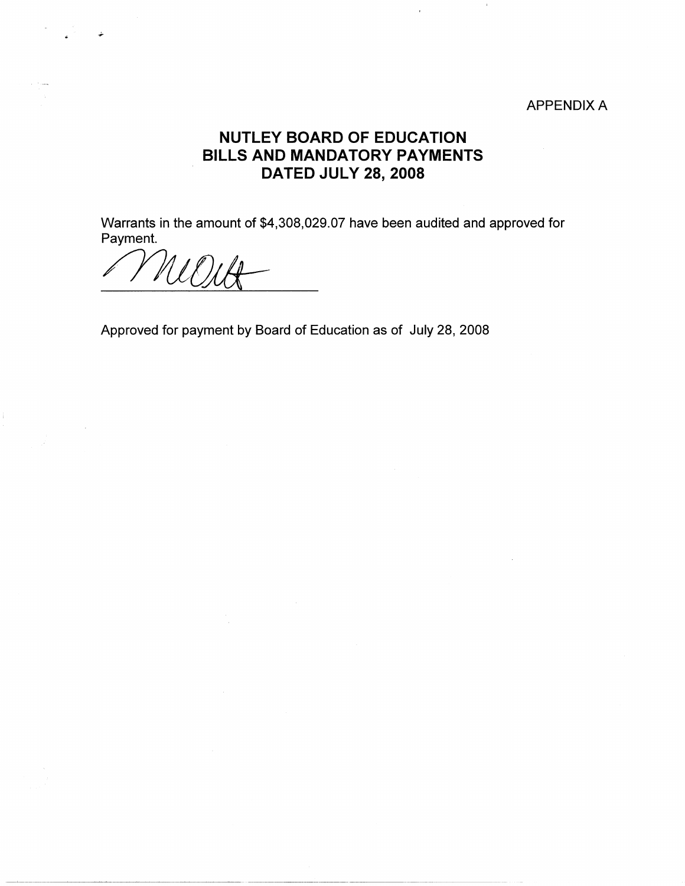## APPENDIX A

## **NUTLEY BOARD OF EDUCATION BILLS AND MANDATORY PAYMENTS DATED JULY 28, 2008**

Warrants in the amount of \$4,308,029.07 have been audited and approved for Payment.

*/J71J/JJ1±:* 

Approved for payment by Board of Education as of July 28, 2008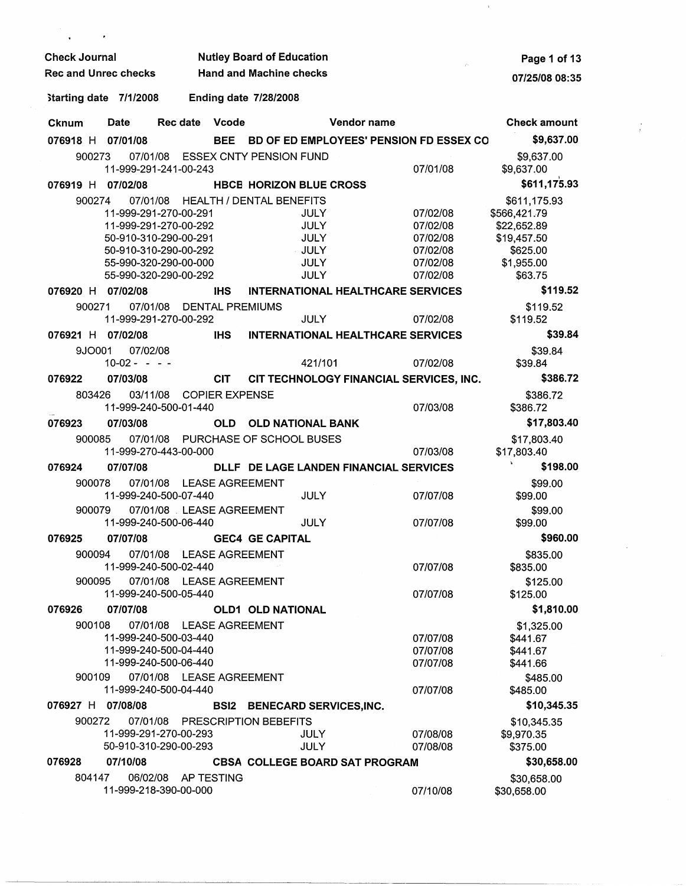| <b>Check Journal</b>        |                       |                          | <b>Nutley Board of Education</b> | Page 1 of 13                        |             |                                          |                                         |                            |
|-----------------------------|-----------------------|--------------------------|----------------------------------|-------------------------------------|-------------|------------------------------------------|-----------------------------------------|----------------------------|
| <b>Rec and Unrec checks</b> |                       |                          |                                  | <b>Hand and Machine checks</b>      |             |                                          |                                         | 07/25/08 08:35             |
| Starting date 7/1/2008      |                       |                          |                                  | <b>Ending date 7/28/2008</b>        |             |                                          |                                         |                            |
| Cknum                       | <b>Date</b>           | Rec date                 | Vcode                            |                                     |             | Vendor name                              |                                         | <b>Check amount</b>        |
| 076918 H                    | 07/01/08              |                          | <b>BEE</b>                       |                                     |             |                                          | BD OF ED EMPLOYEES' PENSION FD ESSEX CO | \$9,637.00                 |
| 900273                      | 11-999-291-241-00-243 |                          |                                  | 07/01/08 ESSEX CNTY PENSION FUND    |             |                                          | 07/01/08                                | \$9,637.00<br>\$9,637.00   |
| 076919 H                    | 07/02/08              |                          |                                  | <b>HBCB HORIZON BLUE CROSS</b>      |             |                                          |                                         | \$611,175.93               |
| 900274                      |                       |                          |                                  | 07/01/08 HEALTH / DENTAL BENEFITS   |             |                                          |                                         | \$611,175.93               |
|                             | 11-999-291-270-00-291 |                          |                                  |                                     | JULY        |                                          | 07/02/08                                | \$566,421.79               |
|                             | 11-999-291-270-00-292 |                          |                                  |                                     | <b>JULY</b> |                                          | 07/02/08                                | \$22,652.89                |
|                             | 50-910-310-290-00-291 |                          |                                  |                                     | <b>JULY</b> |                                          | 07/02/08                                | \$19,457.50                |
|                             | 50-910-310-290-00-292 |                          |                                  |                                     | JULY        |                                          | 07/02/08                                | \$625.00                   |
|                             | 55-990-320-290-00-000 |                          |                                  |                                     | <b>JULY</b> |                                          | 07/02/08                                | \$1,955.00                 |
|                             | 55-990-320-290-00-292 |                          |                                  |                                     | <b>JULY</b> |                                          | 07/02/08                                | \$63.75                    |
| 076920 H 07/02/08           |                       |                          | <b>IHS</b>                       |                                     |             | <b>INTERNATIONAL HEALTHCARE SERVICES</b> |                                         | \$119.52                   |
| 900271                      | 07/01/08              |                          |                                  | <b>DENTAL PREMIUMS</b>              |             |                                          |                                         | \$119.52                   |
|                             | 11-999-291-270-00-292 |                          |                                  |                                     | <b>JULY</b> |                                          | 07/02/08                                | \$119.52                   |
| 076921 H                    | 07/02/08              |                          | <b>IHS</b>                       |                                     |             | <b>INTERNATIONAL HEALTHCARE SERVICES</b> |                                         | \$39.84                    |
| 9JO001                      | 07/02/08              |                          |                                  |                                     |             |                                          |                                         | \$39.84                    |
|                             | $10-02 - - -$         |                          |                                  |                                     | 421/101     |                                          | 07/02/08                                | \$39.84                    |
| 076922                      | 07/03/08              |                          | <b>CIT</b>                       |                                     |             |                                          | CIT TECHNOLOGY FINANCIAL SERVICES, INC. | \$386.72                   |
| 803426                      | 03/11/08              |                          | <b>COPIER EXPENSE</b>            |                                     |             |                                          |                                         | \$386.72                   |
|                             | 11-999-240-500-01-440 |                          |                                  |                                     |             |                                          | 07/03/08                                | \$386.72                   |
| 076923                      | 07/03/08              |                          |                                  | OLD OLD NATIONAL BANK               |             |                                          |                                         | \$17,803.40                |
|                             |                       |                          |                                  |                                     |             |                                          |                                         |                            |
| 900085                      | 11-999-270-443-00-000 |                          |                                  | 07/01/08 PURCHASE OF SCHOOL BUSES   |             |                                          | 07/03/08                                | \$17,803.40<br>\$17,803.40 |
| 076924                      | 07/07/08              |                          |                                  |                                     |             | DLLF DE LAGE LANDEN FINANCIAL SERVICES   |                                         | \$198.00                   |
| 900078                      |                       | 07/01/08 LEASE AGREEMENT |                                  |                                     |             |                                          |                                         | \$99.00                    |
|                             | 11-999-240-500-07-440 |                          |                                  |                                     | <b>JULY</b> |                                          | 07/07/08                                | \$99.00                    |
| 900079                      |                       | 07/01/08 LEASE AGREEMENT |                                  |                                     |             |                                          |                                         | \$99.00                    |
|                             | 11-999-240-500-06-440 |                          |                                  |                                     | <b>JULY</b> |                                          | 07/07/08                                | \$99.00                    |
| 076925                      | 07/07/08              |                          |                                  | <b>GEC4 GE CAPITAL</b>              |             |                                          |                                         | \$960.00                   |
| 900094                      |                       | 07/01/08 LEASE AGREEMENT |                                  |                                     |             |                                          |                                         | \$835.00                   |
|                             | 11-999-240-500-02-440 |                          |                                  |                                     |             |                                          | 07/07/08                                | \$835.00                   |
| 900095                      |                       | 07/01/08 LEASE AGREEMENT |                                  |                                     |             |                                          |                                         | \$125.00                   |
|                             | 11-999-240-500-05-440 |                          |                                  |                                     |             |                                          | 07/07/08                                | \$125.00                   |
| 076926                      | 07/07/08              |                          |                                  | <b>OLD1 OLD NATIONAL</b>            |             |                                          |                                         | \$1,810.00                 |
| 900108                      |                       | 07/01/08 LEASE AGREEMENT |                                  |                                     |             |                                          |                                         | \$1,325.00                 |
|                             | 11-999-240-500-03-440 |                          |                                  |                                     |             |                                          | 07/07/08                                | \$441.67                   |
|                             | 11-999-240-500-04-440 |                          |                                  |                                     |             |                                          | 07/07/08                                | \$441.67                   |
|                             | 11-999-240-500-06-440 |                          |                                  |                                     |             |                                          | 07/07/08                                | \$441.66                   |
| 900109                      |                       | 07/01/08 LEASE AGREEMENT |                                  |                                     |             |                                          |                                         | \$485.00                   |
|                             | 11-999-240-500-04-440 |                          |                                  |                                     |             |                                          | 07/07/08                                | \$485.00                   |
| 076927 H                    | 07/08/08              |                          |                                  | <b>BSI2 BENECARD SERVICES, INC.</b> |             |                                          |                                         | \$10,345.35                |
| 900272                      | 07/01/08              |                          |                                  | <b>PRESCRIPTION BEBEFITS</b>        |             |                                          |                                         | \$10,345.35                |
|                             | 11-999-291-270-00-293 |                          |                                  |                                     | JULY        |                                          | 07/08/08                                | \$9,970.35                 |
|                             | 50-910-310-290-00-293 |                          |                                  |                                     | <b>JULY</b> |                                          | 07/08/08                                | \$375.00                   |
| 076928                      | 07/10/08              |                          |                                  |                                     |             | <b>CBSA COLLEGE BOARD SAT PROGRAM</b>    |                                         | \$30,658.00                |
| 804147                      |                       | 06/02/08 AP TESTING      |                                  |                                     |             |                                          |                                         |                            |
|                             | 11-999-218-390-00-000 |                          |                                  |                                     |             |                                          | 07/10/08                                | \$30,658.00<br>\$30,658.00 |

 $\lambda$ 

 $\frac{1}{L}$  .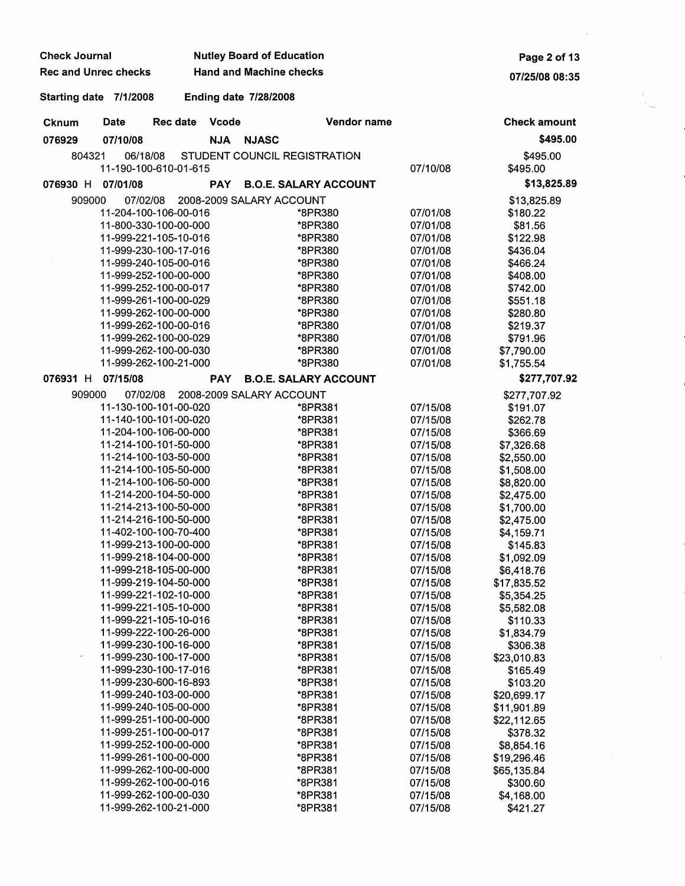| <b>Check Journal</b>                           |                              | <b>Nutley Board of Education</b> | Page 2 of 13         |                            |
|------------------------------------------------|------------------------------|----------------------------------|----------------------|----------------------------|
| <b>Rec and Unrec checks</b>                    |                              | 07/25/08 08:35                   |                      |                            |
| Starting date 7/1/2008                         | <b>Ending date 7/28/2008</b> |                                  |                      |                            |
| <b>Date</b><br><b>Rec date</b><br>Cknum        | Vcode                        | Vendor name                      |                      | <b>Check amount</b>        |
| 076929<br>07/10/08                             | <b>NJA</b>                   | <b>NJASC</b>                     |                      | \$495.00                   |
| 804321<br>06/18/08<br>11-190-100-610-01-615    |                              | STUDENT COUNCIL REGISTRATION     | 07/10/08             | \$495.00<br>\$495.00       |
| 076930 H<br>07/01/08                           | <b>PAY</b>                   | <b>B.O.E. SALARY ACCOUNT</b>     |                      | \$13,825.89                |
| 909000<br>07/02/08                             |                              | 2008-2009 SALARY ACCOUNT         |                      | \$13,825.89                |
| 11-204-100-106-00-016                          |                              | *8PR380                          | 07/01/08             | \$180.22                   |
| 11-800-330-100-00-000                          |                              | *8PR380                          | 07/01/08             | \$81.56                    |
| 11-999-221-105-10-016                          |                              | *8PR380                          | 07/01/08             | \$122.98                   |
| 11-999-230-100-17-016                          |                              | *8PR380                          | 07/01/08             | \$436.04                   |
| 11-999-240-105-00-016                          |                              | *8PR380                          | 07/01/08             | \$466.24                   |
| 11-999-252-100-00-000                          |                              | *8PR380                          | 07/01/08             | \$408.00                   |
| 11-999-252-100-00-017                          |                              | *8PR380                          | 07/01/08             | \$742.00                   |
| 11-999-261-100-00-029                          |                              | *8PR380                          | 07/01/08             | \$551.18                   |
| 11-999-262-100-00-000                          |                              | *8PR380                          | 07/01/08             | \$280.80                   |
| 11-999-262-100-00-016                          |                              | *8PR380                          | 07/01/08             | \$219.37                   |
| 11-999-262-100-00-029                          |                              | *8PR380                          | 07/01/08             | \$791.96                   |
| 11-999-262-100-00-030                          |                              | *8PR380                          | 07/01/08             | \$7,790.00                 |
| 11-999-262-100-21-000                          |                              | *8PR380                          | 07/01/08             | \$1,755.54                 |
| 07/15/08<br>076931 H                           | <b>PAY</b>                   | <b>B.O.E. SALARY ACCOUNT</b>     |                      | \$277,707.92               |
| 909000<br>07/02/08                             |                              | 2008-2009 SALARY ACCOUNT         |                      | \$277,707.92               |
| 11-130-100-101-00-020                          |                              | *8PR381                          | 07/15/08             | \$191.07                   |
| 11-140-100-101-00-020                          |                              | *8PR381                          | 07/15/08             | \$262.78                   |
| 11-204-100-106-00-000                          |                              | *8PR381                          | 07/15/08             | \$366.69                   |
| 11-214-100-101-50-000                          |                              | *8PR381                          | 07/15/08             | \$7,326.68                 |
| 11-214-100-103-50-000                          |                              | *8PR381                          | 07/15/08             | \$2,550.00                 |
| 11-214-100-105-50-000                          |                              | *8PR381                          | 07/15/08             | \$1,508.00                 |
| 11-214-100-106-50-000<br>11-214-200-104-50-000 |                              | *8PR381                          | 07/15/08<br>07/15/08 | \$8,820.00                 |
| 11-214-213-100-50-000                          |                              | *8PR381<br>*8PR381               | 07/15/08             | \$2,475.00<br>\$1,700.00   |
| 11-214-216-100-50-000                          |                              | *8PR381                          | 07/15/08             | \$2,475.00                 |
| 11-402-100-100-70-400                          |                              | *8PR381                          | 07/15/08             | \$4,159.71                 |
| 11-999-213-100-00-000                          |                              | *8PR381                          | 07/15/08             | \$145.83                   |
| 11-999-218-104-00-000                          |                              | *8PR381                          | 07/15/08             | \$1,092.09                 |
| 11-999-218-105-00-000                          |                              | *8PR381                          | 07/15/08             | \$6,418.76                 |
| 11-999-219-104-50-000                          |                              | *8PR381                          | 07/15/08             | \$17,835.52                |
| 11-999-221-102-10-000                          |                              | *8PR381                          | 07/15/08             | \$5,354.25                 |
| 11-999-221-105-10-000                          |                              | *8PR381                          | 07/15/08             | \$5,582.08                 |
| 11-999-221-105-10-016                          |                              | *8PR381                          | 07/15/08             | \$110.33                   |
| 11-999-222-100-26-000                          |                              | *8PR381                          | 07/15/08             | \$1,834.79                 |
| 11-999-230-100-16-000                          |                              | *8PR381                          | 07/15/08             | \$306.38                   |
| 11-999-230-100-17-000                          |                              | *8PR381                          | 07/15/08             | \$23,010.83                |
| 11-999-230-100-17-016                          |                              | *8PR381                          | 07/15/08             | \$165.49                   |
| 11-999-230-600-16-893                          |                              | *8PR381                          | 07/15/08             | \$103.20                   |
| 11-999-240-103-00-000                          |                              | *8PR381                          | 07/15/08             | \$20,699.17                |
| 11-999-240-105-00-000                          |                              | *8PR381                          | 07/15/08             | \$11,901.89                |
| 11-999-251-100-00-000<br>11-999-251-100-00-017 |                              | *8PR381                          | 07/15/08             | \$22,112.65                |
| 11-999-252-100-00-000                          |                              | *8PR381                          | 07/15/08             | \$378.32                   |
| 11-999-261-100-00-000                          |                              | *8PR381<br>*8PR381               | 07/15/08<br>07/15/08 | \$8,854.16                 |
| 11-999-262-100-00-000                          |                              | *8PR381                          | 07/15/08             | \$19,296.46<br>\$65,135.84 |
| 11-999-262-100-00-016                          |                              | *8PR381                          | 07/15/08             | \$300.60                   |
| 11-999-262-100-00-030                          |                              | *8PR381                          | 07/15/08             | \$4,168.00                 |
| 11-999-262-100-21-000                          |                              | *8PR381                          | 07/15/08             | \$421.27                   |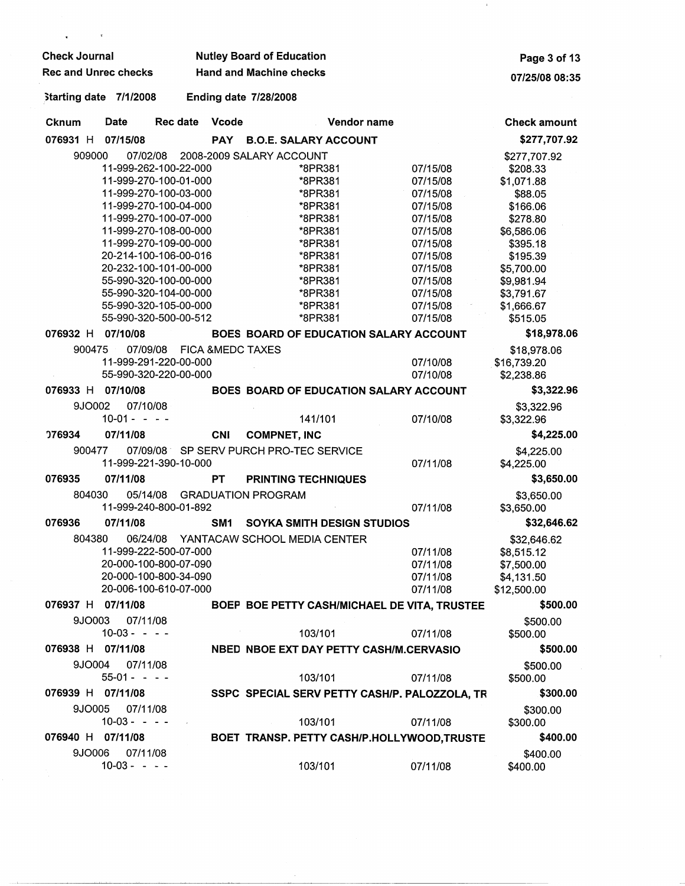| <b>Check Journal</b>                           |                              | <b>Nutley Board of Education</b>              |                      | Page 3 of 13             |
|------------------------------------------------|------------------------------|-----------------------------------------------|----------------------|--------------------------|
| <b>Rec and Unrec checks</b>                    |                              | <b>Hand and Machine checks</b>                |                      | 07/25/08 08:35           |
| Starting date 7/1/2008                         | <b>Ending date 7/28/2008</b> |                                               |                      |                          |
| <b>Cknum</b><br>Date<br>Rec date               | Vcode                        | Vendor name                                   |                      | <b>Check amount</b>      |
| 076931 H 07/15/08                              | <b>PAY</b>                   | <b>B.O.E. SALARY ACCOUNT</b>                  |                      | \$277,707.92             |
| 909000<br>07/02/08                             |                              | 2008-2009 SALARY ACCOUNT                      |                      | \$277,707.92             |
| 11-999-262-100-22-000                          |                              | *8PR381                                       | 07/15/08             | \$208.33                 |
| 11-999-270-100-01-000                          |                              | *8PR381                                       | 07/15/08             | \$1,071.88               |
| 11-999-270-100-03-000                          |                              | *8PR381                                       | 07/15/08             | \$88.05                  |
| 11-999-270-100-04-000                          |                              | *8PR381                                       | 07/15/08             | \$166.06                 |
| 11-999-270-100-07-000<br>11-999-270-108-00-000 |                              | *8PR381<br>*8PR381                            | 07/15/08<br>07/15/08 | \$278.80<br>\$6,586.06   |
| 11-999-270-109-00-000                          |                              | *8PR381                                       | 07/15/08             | \$395.18                 |
| 20-214-100-106-00-016                          |                              | *8PR381                                       | 07/15/08             | \$195.39                 |
| 20-232-100-101-00-000                          |                              | *8PR381                                       | 07/15/08             | \$5,700.00               |
| 55-990-320-100-00-000                          |                              | *8PR381                                       | 07/15/08             | \$9,981.94               |
| 55-990-320-104-00-000                          |                              | *8PR381                                       | 07/15/08             | \$3,791.67               |
| 55-990-320-105-00-000                          |                              | *8PR381                                       | 07/15/08             | \$1,666.67               |
| 55-990-320-500-00-512                          |                              | *8PR381                                       | 07/15/08             | \$515.05                 |
| 076932 H<br>07/10/08                           |                              | BOES BOARD OF EDUCATION SALARY ACCOUNT        |                      | \$18,978.06              |
| 900475<br>07/09/08                             | <b>FICA &amp;MEDC TAXES</b>  |                                               |                      | \$18,978.06              |
| 11-999-291-220-00-000                          |                              |                                               | 07/10/08             | \$16,739.20              |
| 55-990-320-220-00-000                          |                              |                                               | 07/10/08             | \$2,238.86               |
| 07/10/08<br>076933 H                           |                              | BOES BOARD OF EDUCATION SALARY ACCOUNT        |                      | \$3,322.96               |
| 9JO002<br>07/10/08                             |                              |                                               |                      | \$3,322.96               |
| $10-01 - - -$                                  |                              | 141/101                                       | 07/10/08             | \$3,322.96               |
| 07/11/08<br><b>076934</b>                      | <b>CNI</b>                   | <b>COMPNET, INC</b>                           |                      | \$4,225.00               |
| 900477<br>11-999-221-390-10-000                |                              | 07/09/08 SP SERV PURCH PRO-TEC SERVICE        | 07/11/08             | \$4,225.00<br>\$4,225.00 |
| 076935<br>07/11/08                             | <b>PT</b>                    | <b>PRINTING TECHNIQUES</b>                    |                      | \$3,650.00               |
| 804030<br>05/14/08                             | <b>GRADUATION PROGRAM</b>    |                                               |                      | \$3,650.00               |
| 11-999-240-800-01-892                          |                              |                                               | 07/11/08             | \$3,650.00               |
| 07/11/08<br>076936                             | SM <sub>1</sub>              | SOYKA SMITH DESIGN STUDIOS                    |                      | \$32,646.62              |
| 804380<br>06/24/08                             |                              | YANTACAW SCHOOL MEDIA CENTER                  |                      | \$32,646.62              |
| 11-999-222-500-07-000                          |                              |                                               | 07/11/08             | \$8,515.12               |
| 20-000-100-800-07-090                          |                              |                                               | 07/11/08             | \$7,500.00               |
| 20-000-100-800-34-090                          |                              |                                               | 07/11/08             | \$4,131.50               |
| 20-006-100-610-07-000                          |                              |                                               | 07/11/08             | \$12,500.00              |
| 076937 H 07/11/08                              |                              | BOEP BOE PETTY CASH/MICHAEL DE VITA, TRUSTEE  |                      | \$500.00                 |
| 07/11/08<br>9JO003                             |                              |                                               |                      | \$500.00                 |
| $10-03 - - -$                                  |                              | 103/101                                       | 07/11/08             | \$500.00                 |
| 076938 H 07/11/08                              |                              | NBED NBOE EXT DAY PETTY CASH/M.CERVASIO       |                      | \$500.00                 |
| 9JO004<br>07/11/08<br>$55-01 - - -$            |                              | 103/101                                       | 07/11/08             | \$500.00<br>\$500.00     |
| 076939 H 07/11/08                              |                              | SSPC SPECIAL SERV PETTY CASH/P. PALOZZOLA, TR |                      | \$300.00                 |
| 07/11/08<br>9JO005                             |                              |                                               |                      | \$300.00                 |
| $10-03 - - -$                                  |                              | 103/101                                       | 07/11/08             | \$300.00                 |
| 076940 H 07/11/08                              |                              | BOET TRANSP. PETTY CASH/P.HOLLYWOOD,TRUSTE    |                      | \$400.00                 |
| 07/11/08<br>9JO006                             |                              |                                               |                      | \$400.00                 |
| $10-03 - - -$                                  |                              | 103/101                                       | 07/11/08             | \$400.00                 |

 $\pm$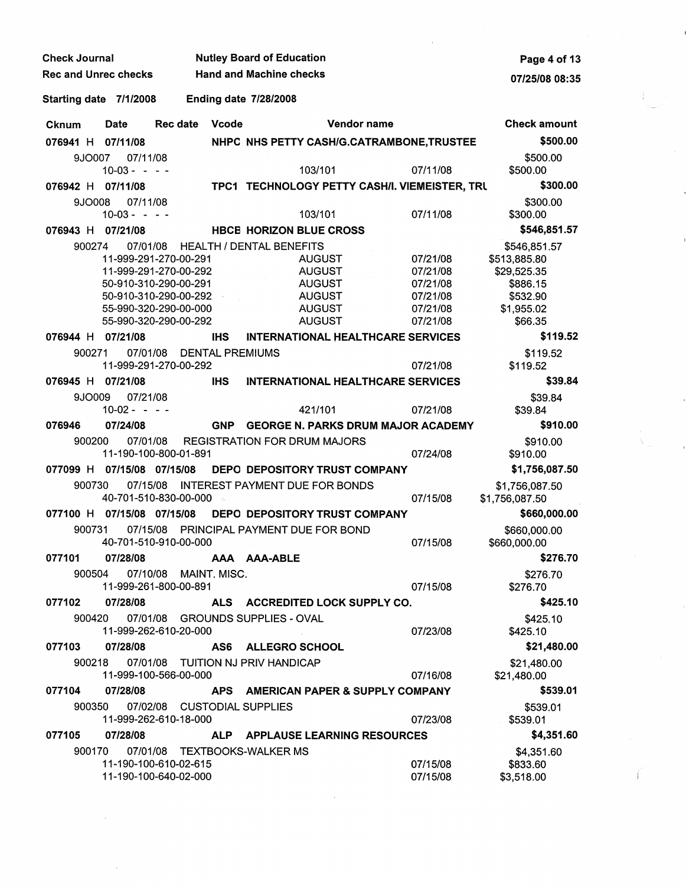| <b>Check Journal</b>        |                                                       |                          | <b>Nutley Board of Education</b>               |                      | Page 4 of 13                     |
|-----------------------------|-------------------------------------------------------|--------------------------|------------------------------------------------|----------------------|----------------------------------|
| <b>Rec and Unrec checks</b> |                                                       |                          | <b>Hand and Machine checks</b>                 |                      | 07/25/08 08:35                   |
| Starting date 7/1/2008      |                                                       |                          | <b>Ending date 7/28/2008</b>                   |                      |                                  |
| <b>Cknum</b>                | <b>Date</b>                                           | Vcode<br>Rec date        | Vendor name                                    |                      | <b>Check amount</b>              |
| 076941 H 07/11/08           |                                                       |                          | NHPC NHS PETTY CASH/G.CATRAMBONE, TRUSTEE      |                      | \$500.00                         |
| 9JO007                      | 07/11/08                                              |                          |                                                |                      | \$500.00                         |
|                             | $10-03 - - -$                                         |                          | 103/101                                        | 07/11/08             | \$500.00                         |
| 076942 H 07/11/08           |                                                       |                          | TPC1 TECHNOLOGY PETTY CASH/I. VIEMEISTER, TRU  |                      | \$300.00                         |
| 9JO008                      | 07/11/08                                              |                          |                                                |                      | \$300.00                         |
|                             | $10-03 - - -$                                         |                          | 103/101                                        | 07/11/08             | \$300.00                         |
| 076943 H 07/21/08           |                                                       |                          | <b>HBCE HORIZON BLUE CROSS</b>                 |                      | \$546,851.57                     |
| 900274                      | 07/01/08                                              |                          | <b>HEALTH / DENTAL BENEFITS</b>                |                      | \$546,851.57                     |
|                             | 11-999-291-270-00-291                                 |                          | AUGUST                                         | 07/21/08             | \$513,885.80                     |
|                             | 11-999-291-270-00-292                                 |                          | <b>AUGUST</b>                                  | 07/21/08             | \$29,525.35                      |
|                             | 50-910-310-290-00-291<br>50-910-310-290-00-292        | $\sim$ $\sim$            | <b>AUGUST</b><br><b>AUGUST</b>                 | 07/21/08<br>07/21/08 | \$886.15<br>\$532.90             |
|                             | 55-990-320-290-00-000                                 |                          | <b>AUGUST</b>                                  | 07/21/08             | \$1,955.02                       |
|                             | 55-990-320-290-00-292                                 |                          | <b>AUGUST</b>                                  | 07/21/08             | \$66.35                          |
| 076944 H 07/21/08           |                                                       | IHS.                     | <b>INTERNATIONAL HEALTHCARE SERVICES</b>       |                      | \$119.52                         |
| 900271                      |                                                       | 07/01/08 DENTAL PREMIUMS |                                                |                      | \$119.52                         |
|                             | 11-999-291-270-00-292                                 |                          |                                                | 07/21/08             | \$119.52                         |
| 076945 H 07/21/08           |                                                       | <b>IHS</b>               | <b>INTERNATIONAL HEALTHCARE SERVICES</b>       |                      | \$39.84                          |
|                             |                                                       |                          |                                                |                      |                                  |
| 9JO009                      | 07/21/08<br>$10-02 - - -$                             |                          | 421/101                                        | 07/21/08             | \$39.84<br>\$39.84               |
| 076946                      | 07/24/08                                              |                          | GNP GEORGE N. PARKS DRUM MAJOR ACADEMY         |                      | \$910.00                         |
| 900200                      | 07/01/08                                              |                          | <b>REGISTRATION FOR DRUM MAJORS</b>            |                      |                                  |
|                             | 11-190-100-800-01-891                                 |                          |                                                | 07/24/08             | \$910.00<br>\$910.00             |
|                             | 077099 H 07/15/08 07/15/08                            |                          | <b>DEPO DEPOSITORY TRUST COMPANY</b>           |                      | \$1,756,087.50                   |
| 900730                      | 07/15/08                                              |                          | <b>INTEREST PAYMENT DUE FOR BONDS</b>          |                      |                                  |
|                             | 40-701-510-830-00-000                                 | $\mathcal{L}_{\rm{sc}}$  |                                                | 07/15/08             | \$1,756,087.50<br>\$1,756,087.50 |
|                             | 077100 H 07/15/08 07/15/08                            |                          | DEPO DEPOSITORY TRUST COMPANY                  |                      | \$660,000.00                     |
|                             | 40-701-510-910-00-000                                 |                          | 900731 07/15/08 PRINCIPAL PAYMENT DUE FOR BOND | 07/15/08             | \$660,000.00<br>\$660,000.00     |
|                             | 077101  07/28/08  AAA AAA-ABLE                        |                          |                                                |                      | \$276.70                         |
|                             | 900504 07/10/08 MAINT. MISC.<br>11-999-261-800-00-891 |                          |                                                | 07/15/08             | \$276.70<br>\$276.70             |
| 077102                      | 07/28/08                                              |                          | ALS ACCREDITED LOCK SUPPLY CO.                 |                      | \$425.10                         |
|                             |                                                       |                          | 900420 07/01/08 GROUNDS SUPPLIES - OVAL        |                      | \$425.10                         |
|                             | 11-999-262-610-20-000                                 |                          |                                                | 07/23/08             | \$425.10                         |
| 077103 07/28/08             |                                                       |                          | AS6 ALLEGRO SCHOOL                             |                      | \$21,480.00                      |
| 900218                      | 11-999-100-566-00-000                                 |                          | 07/01/08 TUITION NJ PRIV HANDICAP              | 07/16/08             | \$21,480.00<br>\$21,480.00       |
| 077104                      | 07/28/08                                              |                          | APS AMERICAN PAPER & SUPPLY COMPANY            |                      | \$539.01                         |
|                             | 900350 07/02/08 CUSTODIAL SUPPLIES                    |                          |                                                |                      | \$539.01                         |
|                             | 11-999-262-610-18-000                                 |                          |                                                | 07/23/08             | \$539.01                         |
| 077105                      | 07/28/08                                              |                          | ALP APPLAUSE LEARNING RESOURCES                |                      | \$4,351.60                       |
| 900170                      |                                                       |                          | 07/01/08 TEXTBOOKS-WALKER MS                   |                      | \$4,351.60                       |
|                             | 11-190-100-610-02-615<br>11-190-100-640-02-000        |                          |                                                | 07/15/08<br>07/15/08 | \$833.60<br>\$3,518.00           |

 $\label{eq:2.1} \frac{1}{\sqrt{2\pi}}\int_{\mathbb{R}^3}\frac{1}{\sqrt{2\pi}}\left(\frac{1}{\sqrt{2\pi}}\right)^2\frac{1}{\sqrt{2\pi}}\int_{\mathbb{R}^3}\frac{1}{\sqrt{2\pi}}\frac{1}{\sqrt{2\pi}}\frac{1}{\sqrt{2\pi}}\frac{1}{\sqrt{2\pi}}\frac{1}{\sqrt{2\pi}}\frac{1}{\sqrt{2\pi}}\frac{1}{\sqrt{2\pi}}\frac{1}{\sqrt{2\pi}}\frac{1}{\sqrt{2\pi}}\frac{1}{\sqrt{2\pi}}\frac{1}{\sqrt{2\pi}}\frac{$ 

 $\mathcal{A}^{\mathcal{A}}$ 

 $\sim$   $\sim$ 

 $\label{eq:2} \begin{array}{c} \mathcal{L}_{\text{max}}(\mathbf{r}) = \mathcal{L}_{\text{max}}(\mathbf{r}) \end{array}$ 

 $\int_0^{\infty}$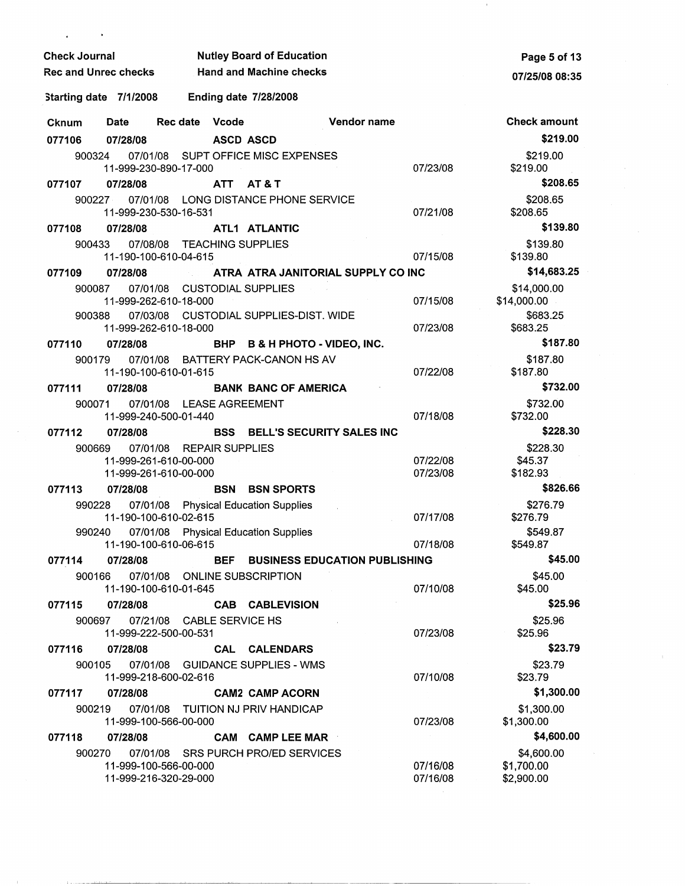| <b>Check Journal</b>        | Page 5 of 13                                   |                   |                                        |                                      |                      |                          |
|-----------------------------|------------------------------------------------|-------------------|----------------------------------------|--------------------------------------|----------------------|--------------------------|
| <b>Rec and Unrec checks</b> |                                                |                   | <b>Hand and Machine checks</b>         |                                      |                      | 07/25/08 08:35           |
| Starting date 7/1/2008      |                                                |                   | <b>Ending date 7/28/2008</b>           |                                      |                      |                          |
| Cknum                       | <b>Date</b>                                    | Rec date<br>Vcode |                                        | Vendor name                          |                      | <b>Check amount</b>      |
| 077106                      | 07/28/08                                       |                   | <b>ASCD ASCD</b>                       |                                      |                      | \$219.00                 |
| 900324                      |                                                |                   | 07/01/08 SUPT OFFICE MISC EXPENSES     |                                      |                      | \$219.00                 |
|                             | 11-999-230-890-17-000                          |                   |                                        |                                      | 07/23/08             | \$219.00                 |
| 077107                      | 07/28/08                                       |                   | ATT AT&T                               |                                      |                      | \$208.65                 |
| 900227                      | 11-999-230-530-16-531                          |                   | 07/01/08 LONG DISTANCE PHONE SERVICE   |                                      | 07/21/08             | \$208.65<br>\$208.65     |
| 077108                      | 07/28/08                                       |                   | ATL1 ATLANTIC                          |                                      |                      | \$139.80                 |
| 900433                      | 11-190-100-610-04-615                          |                   | 07/08/08 TEACHING SUPPLIES             |                                      | 07/15/08             | \$139.80<br>\$139.80     |
| 077109                      | 07/28/08                                       |                   | ATRA ATRA JANITORIAL SUPPLY CO INC     |                                      |                      | \$14,683.25              |
| 900087                      | 07/01/08                                       |                   | <b>CUSTODIAL SUPPLIES</b>              |                                      |                      | \$14,000.00              |
|                             | 11-999-262-610-18-000                          |                   |                                        |                                      | 07/15/08             | \$14,000.00              |
| 900388                      | 11-999-262-610-18-000                          |                   | 07/03/08 CUSTODIAL SUPPLIES-DIST. WIDE |                                      | 07/23/08             | \$683.25<br>\$683.25     |
| 077110                      | 07/28/08                                       |                   | BHP                                    | <b>B &amp; H PHOTO - VIDEO, INC.</b> |                      | \$187.80                 |
| 900179                      | 11-190-100-610-01-615                          |                   | 07/01/08 BATTERY PACK-CANON HS AV      |                                      | 07/22/08             | \$187.80<br>\$187.80     |
| 077111                      | 07/28/08                                       |                   | <b>BANK BANC OF AMERICA</b>            |                                      |                      | \$732.00                 |
| 900071                      | 11-999-240-500-01-440                          |                   | 07/01/08 LEASE AGREEMENT               |                                      | 07/18/08             | \$732.00<br>\$732.00     |
| 077112                      | 07/28/08                                       |                   | <b>BSS BELL'S SECURITY SALES INC</b>   |                                      |                      | \$228.30                 |
| 900669                      | 07/01/08                                       |                   | <b>REPAIR SUPPLIES</b>                 |                                      |                      | \$228.30                 |
|                             | 11-999-261-610-00-000                          |                   |                                        |                                      | 07/22/08             | \$45.37                  |
|                             | 11-999-261-610-00-000                          |                   |                                        |                                      | 07/23/08             | \$182.93<br>\$826.66     |
| 077113                      | 07/28/08                                       | <b>BSN</b>        | <b>BSN SPORTS</b>                      |                                      |                      |                          |
| 990228                      | 11-190-100-610-02-615                          |                   | 07/01/08 Physical Education Supplies   |                                      | 07/17/08             | \$276.79<br>\$276.79     |
| 990240                      | 11-190-100-610-06-615                          |                   | 07/01/08 Physical Education Supplies   |                                      | 07/18/08             | \$549.87<br>\$549.87     |
| 077114                      | 07/28/08                                       |                   | BEF                                    | <b>BUSINESS EDUCATION PUBLISHING</b> |                      | \$45.00                  |
| 900166                      | 11-190-100-610-01-645                          |                   | 07/01/08 ONLINE SUBSCRIPTION           |                                      | 07/10/08             | \$45.00<br>\$45.00       |
| 077115                      | 07/28/08                                       |                   | <b>CAB CABLEVISION</b>                 |                                      |                      | \$25.96                  |
| 900697                      | 11-999-222-500-00-531                          |                   | 07/21/08 CABLE SERVICE HS              |                                      | 07/23/08             | \$25.96<br>\$25.96       |
| 077116                      | 07/28/08                                       |                   | <b>CALENDARS</b><br>CAL                |                                      |                      | \$23.79                  |
| 900105                      | 11-999-218-600-02-616                          |                   | 07/01/08 GUIDANCE SUPPLIES - WMS       |                                      | 07/10/08             | \$23.79<br>\$23.79       |
| 077117                      | 07/28/08                                       |                   | <b>CAM2 CAMP ACORN</b>                 |                                      |                      | \$1,300.00               |
| 900219                      | 11-999-100-566-00-000                          |                   | 07/01/08 TUITION NJ PRIV HANDICAP      |                                      | 07/23/08             | \$1,300.00<br>\$1,300.00 |
| 077118                      | 07/28/08                                       |                   | CAM CAMP LEE MAR                       |                                      |                      | \$4,600.00               |
| 900270                      |                                                |                   | 07/01/08 SRS PURCH PRO/ED SERVICES     |                                      |                      | \$4,600.00               |
|                             | 11-999-100-566-00-000<br>11-999-216-320-29-000 |                   |                                        |                                      | 07/16/08<br>07/16/08 | \$1,700.00<br>\$2,900.00 |

 $\mathcal{F}_{\mathcal{G}}$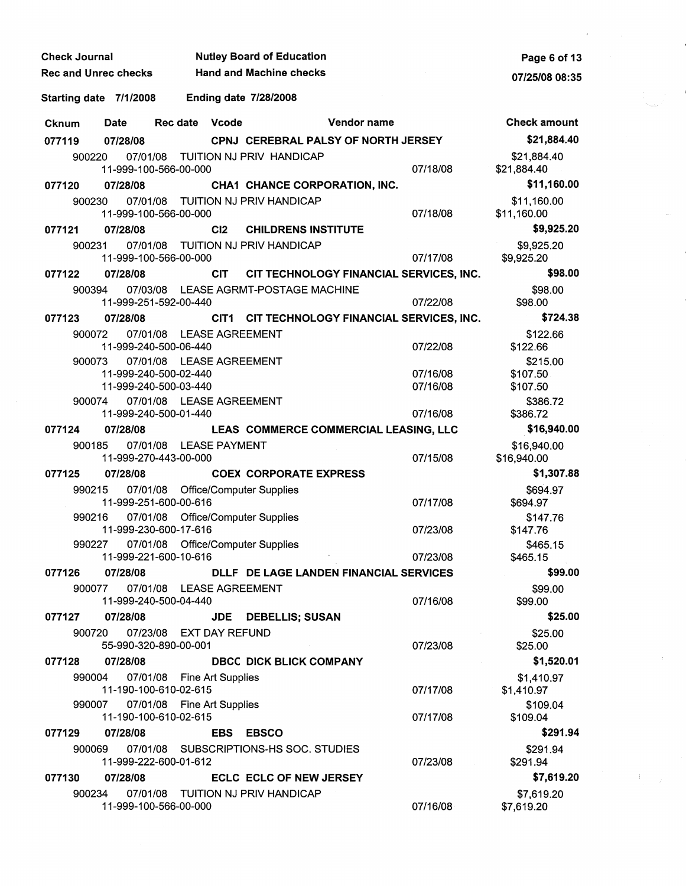| <b>Check Journal</b>        |             | <b>Nutley Board of Education</b>                                           | Page 6 of 13          |                                        |                                              |                      |                                  |
|-----------------------------|-------------|----------------------------------------------------------------------------|-----------------------|----------------------------------------|----------------------------------------------|----------------------|----------------------------------|
| <b>Rec and Unrec checks</b> |             |                                                                            |                       | <b>Hand and Machine checks</b>         |                                              |                      | 07/25/08 08:35                   |
| Starting date 7/1/2008      |             |                                                                            |                       | <b>Ending date 7/28/2008</b>           |                                              |                      |                                  |
| <b>Cknum</b>                | <b>Date</b> | Rec date                                                                   | <b>Vcode</b>          |                                        | Vendor name                                  |                      | <b>Check amount</b>              |
| 077119                      | 07/28/08    |                                                                            |                       |                                        | <b>CPNJ CEREBRAL PALSY OF NORTH JERSEY</b>   |                      | \$21,884.40                      |
| 900220                      | 07/01/08    | 11-999-100-566-00-000                                                      |                       | TUITION NJ PRIV HANDICAP               |                                              | 07/18/08             | \$21,884.40<br>\$21,884.40       |
| 077120                      | 07/28/08    |                                                                            |                       | CHA1 CHANCE CORPORATION, INC.          |                                              |                      | \$11,160.00                      |
| 900230                      | 07/01/08    | 11-999-100-566-00-000                                                      |                       | TUITION NJ PRIV HANDICAP               |                                              | 07/18/08             | \$11,160.00<br>\$11,160.00       |
| 077121                      | 07/28/08    |                                                                            | C <sub>12</sub>       | <b>CHILDRENS INSTITUTE</b>             |                                              |                      | \$9,925.20                       |
| 900231                      |             | 11-999-100-566-00-000                                                      |                       | 07/01/08 TUITION NJ PRIV HANDICAP      |                                              | 07/17/08             | \$9,925.20<br>\$9,925.20         |
| 077122                      | 07/28/08    |                                                                            | <b>CIT</b>            |                                        | CIT TECHNOLOGY FINANCIAL SERVICES, INC.      |                      | \$98.00                          |
| 900394                      |             | 11-999-251-592-00-440                                                      |                       | 07/03/08 LEASE AGRMT-POSTAGE MACHINE   |                                              | 07/22/08             | \$98.00<br>\$98.00               |
| 077123                      | 07/28/08    |                                                                            |                       |                                        | CIT1 CIT TECHNOLOGY FINANCIAL SERVICES, INC. |                      | \$724.38                         |
| 900072                      | 07/01/08    | 11-999-240-500-06-440                                                      |                       | <b>LEASE AGREEMENT</b>                 |                                              | 07/22/08             | \$122.66<br>\$122.66             |
| 900073                      |             | 07/01/08 LEASE AGREEMENT<br>11-999-240-500-02-440<br>11-999-240-500-03-440 |                       |                                        |                                              | 07/16/08<br>07/16/08 | \$215.00<br>\$107.50<br>\$107.50 |
| 900074                      |             | 07/01/08 LEASE AGREEMENT<br>11-999-240-500-01-440                          |                       |                                        |                                              | 07/16/08             | \$386.72<br>\$386.72             |
| 077124                      | 07/28/08    |                                                                            |                       |                                        | LEAS COMMERCE COMMERCIAL LEASING, LLC        |                      | \$16,940.00                      |
| 900185                      |             | 07/01/08 LEASE PAYMENT<br>11-999-270-443-00-000                            |                       |                                        |                                              | 07/15/08             | \$16,940.00<br>\$16,940.00       |
| 077125                      | 07/28/08    |                                                                            |                       | <b>COEX CORPORATE EXPRESS</b>          |                                              |                      | \$1,307.88                       |
| 990215                      | 07/01/08    | 11-999-251-600-00-616                                                      |                       | <b>Office/Computer Supplies</b>        |                                              | 07/17/08             | \$694.97<br>\$694.97             |
| 990216                      | 07/01/08    | 11-999-230-600-17-616                                                      |                       | <b>Office/Computer Supplies</b>        |                                              | 07/23/08             | \$147.76<br>\$147.76             |
| 990227                      | 07/01/08    | 11-999-221-600-10-616                                                      |                       | <b>Office/Computer Supplies</b>        |                                              | 07/23/08             | \$465.15<br>\$465.15             |
| 077126                      | 07/28/08    |                                                                            |                       |                                        | DLLF DE LAGE LANDEN FINANCIAL SERVICES       |                      | \$99.00                          |
| 900077                      |             | 07/01/08 LEASE AGREEMENT<br>11-999-240-500-04-440                          |                       |                                        |                                              | 07/16/08             | \$99.00<br>\$99.00               |
| 077127                      | 07/28/08    |                                                                            | <b>JDE</b>            | <b>DEBELLIS; SUSAN</b>                 |                                              |                      | \$25.00                          |
| 900720                      | 07/23/08    | 55-990-320-890-00-001                                                      | <b>EXT DAY REFUND</b> |                                        |                                              | 07/23/08             | \$25.00<br>\$25.00               |
| 077128                      | 07/28/08    |                                                                            |                       | <b>DBCC DICK BLICK COMPANY</b>         |                                              |                      | \$1,520.01                       |
| 990004                      | 07/01/08    | 11-190-100-610-02-615                                                      | Fine Art Supplies     |                                        |                                              | 07/17/08             | \$1,410.97<br>\$1,410.97         |
| 990007                      |             | 07/01/08 Fine Art Supplies<br>11-190-100-610-02-615                        |                       |                                        |                                              | 07/17/08             | \$109.04<br>\$109.04             |
| 077129                      | 07/28/08    |                                                                            | <b>EBS</b>            | <b>EBSCO</b>                           |                                              |                      | \$291.94                         |
| 900069                      |             | 11-999-222-600-01-612                                                      |                       | 07/01/08 SUBSCRIPTIONS-HS SOC. STUDIES |                                              | 07/23/08             | \$291.94<br>\$291.94             |
| 077130                      | 07/28/08    |                                                                            |                       | <b>ECLC ECLC OF NEW JERSEY</b>         |                                              |                      | \$7,619.20                       |
| 900234                      |             | 11-999-100-566-00-000                                                      |                       | 07/01/08 TUITION NJ PRIV HANDICAP      |                                              | 07/16/08             | \$7,619.20<br>\$7,619.20         |

 $\hat{\mathcal{A}}$ 

 $\mathcal{F}^{\text{max}}_{\text{max}}$ 

 $\mathcal{L}_{\text{eff}}$  .

 $\frac{1}{2}$  ,  $\frac{1}{2}$ 

 $\label{eq:2.1} \frac{d\mathbf{y}}{dt} = \frac{1}{2} \sum_{i=1}^n \frac{d\mathbf{y}}{dt} \mathbf{y}_i \mathbf{y}_i \mathbf{y}_i \mathbf{y}_i$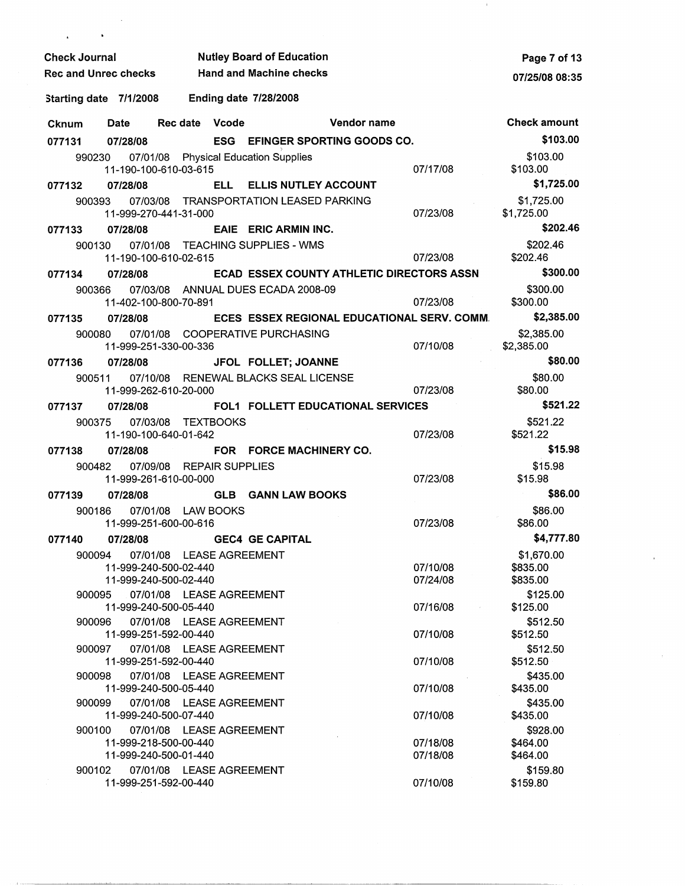| <b>Nutley Board of Education</b><br><b>Check Journal</b> |                                                                                     |                                                      |            |                                             |                      | Page 7 of 13                       |
|----------------------------------------------------------|-------------------------------------------------------------------------------------|------------------------------------------------------|------------|---------------------------------------------|----------------------|------------------------------------|
|                                                          | <b>Hand and Machine checks</b><br>Rec and Unrec checks                              |                                                      |            |                                             |                      | 07/25/08 08:35                     |
| Starting date 7/1/2008                                   |                                                                                     |                                                      |            | <b>Ending date 7/28/2008</b>                |                      |                                    |
| Cknum                                                    | Date                                                                                | Rec date Vcode                                       |            | Vendor name                                 |                      | <b>Check amount</b>                |
| 077131                                                   | 07/28/08                                                                            |                                                      |            | ESG EFINGER SPORTING GOODS CO.              |                      | \$103.00                           |
| 990230                                                   | 11-190-100-610-03-615                                                               |                                                      |            | 07/01/08 Physical Education Supplies        | 07/17/08             | \$103.00<br>\$103.00               |
| 077132                                                   | 07/28/08                                                                            |                                                      |            | ELL ELLIS NUTLEY ACCOUNT                    |                      | \$1,725.00                         |
| 900393                                                   | 11-999-270-441-31-000                                                               |                                                      |            | 07/03/08 TRANSPORTATION LEASED PARKING      | 07/23/08             | \$1,725.00<br>\$1,725.00           |
| 077133                                                   | 07/28/08                                                                            |                                                      |            | EAIE ERIC ARMIN INC.                        |                      | \$202.46                           |
| 900130                                                   | 11-190-100-610-02-615                                                               |                                                      |            | 07/01/08 TEACHING SUPPLIES - WMS            | 07/23/08             | \$202.46<br>\$202.46               |
| 077134                                                   | 07/28/08                                                                            |                                                      |            | ECAD ESSEX COUNTY ATHLETIC DIRECTORS ASSN   |                      | \$300.00                           |
| 900366                                                   | 11-402-100-800-70-891                                                               |                                                      |            | 07/03/08 ANNUAL DUES ECADA 2008-09          | 07/23/08             | \$300.00<br>\$300.00               |
| 077135                                                   | 07/28/08                                                                            |                                                      |            | ECES ESSEX REGIONAL EDUCATIONAL SERV. COMM. |                      | \$2,385.00                         |
| 900080                                                   | 11-999-251-330-00-336                                                               |                                                      |            | 07/01/08 COOPERATIVE PURCHASING             | 07/10/08             | \$2,385.00<br>\$2,385.00           |
| 077136                                                   | 07/28/08                                                                            |                                                      |            | JFOL FOLLET; JOANNE                         |                      | \$80.00                            |
| 900511                                                   | 11-999-262-610-20-000                                                               |                                                      |            | 07/10/08 RENEWAL BLACKS SEAL LICENSE        | 07/23/08             | \$80.00<br>\$80.00                 |
| 077137                                                   | 07/28/08                                                                            |                                                      |            | <b>FOL1 FOLLETT EDUCATIONAL SERVICES</b>    |                      | \$521.22                           |
| 900375                                                   | 07/03/08<br>11-190-100-640-01-642                                                   | TEXTBOOKS                                            |            |                                             | 07/23/08             | \$521.22<br>\$521.22               |
| 077138                                                   | 07/28/08                                                                            |                                                      |            | FOR FORCE MACHINERY CO.                     |                      | \$15.98                            |
| 900482                                                   | 11-999-261-610-00-000                                                               | 07/09/08 REPAIR SUPPLIES                             |            |                                             | 07/23/08             | \$15.98<br>\$15.98                 |
| 077139                                                   | 07/28/08                                                                            |                                                      | <b>GLB</b> | <b>GANN LAW BOOKS</b>                       |                      | \$86.00                            |
| 900186                                                   | 11-999-251-600-00-616                                                               | 07/01/08 LAW BOOKS                                   |            |                                             | 07/23/08             | \$86.00<br>\$86.00                 |
| 077140                                                   | 07/28/08                                                                            |                                                      |            | <b>GEC4 GE CAPITAL</b>                      |                      | \$4,777.80                         |
|                                                          | 900094  07/01/08  LEASE AGREEMENT<br>11-999-240-500-02-440<br>11-999-240-500-02-440 |                                                      |            |                                             | 07/10/08<br>07/24/08 | \$1,670.00<br>\$835.00<br>\$835.00 |
| 900095                                                   | 11-999-240-500-05-440                                                               | 07/01/08 LEASE AGREEMENT                             |            |                                             | 07/16/08             | \$125.00<br>\$125.00               |
| 900096                                                   | 11-999-251-592-00-440                                                               | 07/01/08 LEASE AGREEMENT                             |            |                                             | 07/10/08             | \$512.50<br>\$512.50               |
| 900097                                                   | 11-999-251-592-00-440                                                               | 07/01/08 LEASE AGREEMENT                             |            |                                             | 07/10/08             | \$512.50<br>\$512.50               |
| 900098                                                   | 11-999-240-500-05-440                                                               | 07/01/08 LEASE AGREEMENT                             |            |                                             | 07/10/08             | \$435.00<br>\$435.00               |
| 900099<br>900100                                         | 11-999-240-500-07-440                                                               | 07/01/08 LEASE AGREEMENT<br>07/01/08 LEASE AGREEMENT |            |                                             | 07/10/08             | \$435.00<br>\$435.00<br>\$928.00   |
|                                                          | 11-999-218-500-00-440<br>11-999-240-500-01-440                                      |                                                      |            |                                             | 07/18/08<br>07/18/08 | \$464.00<br>\$464.00               |
| 900102                                                   | 11-999-251-592-00-440                                                               | 07/01/08 LEASE AGREEMENT                             |            |                                             | 07/10/08             | \$159.80<br>\$159.80               |

 $\sim$ 

 $\mathbf{r}$ 

 $\lambda$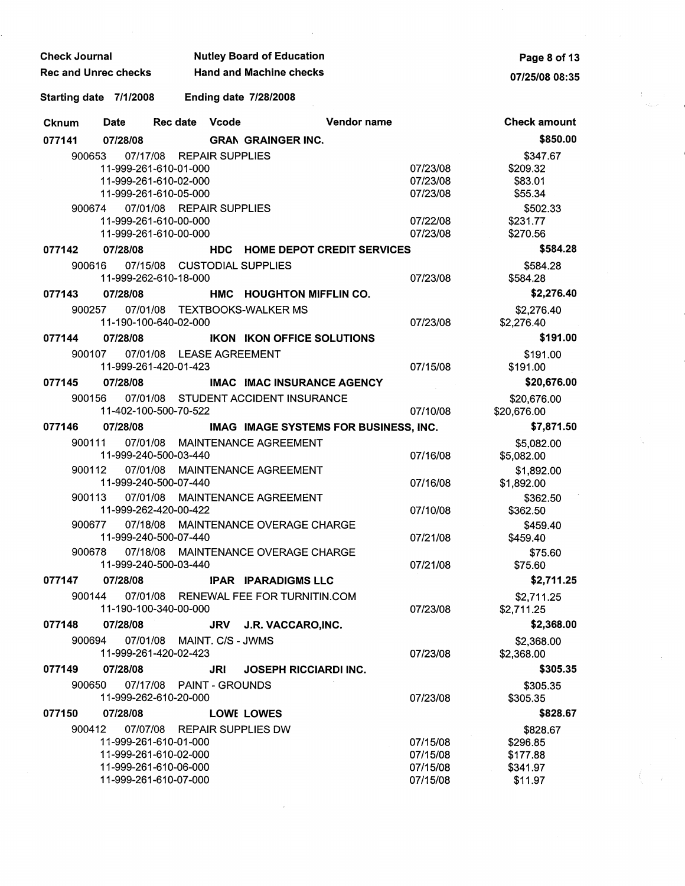| <b>Check Journal</b>        | <b>Nutley Board of Education</b> |
|-----------------------------|----------------------------------|
| <b>Rec and Unrec checks</b> | <b>Hand and Machine checks</b>   |

**Page 8 of** 13 **07/25/08 08:35** 

Ť.

## Starting date 7/1/2008 Ending date 7/28/2008

| Cknum  | <b>Date</b> | <b>Rec date</b>                   | Vcode                  | Vendor name                           |          | <b>Check amount</b>      |
|--------|-------------|-----------------------------------|------------------------|---------------------------------------|----------|--------------------------|
| 077141 | 07/28/08    |                                   |                        | <b>GRAN GRAINGER INC.</b>             |          | \$850.00                 |
| 900653 |             | 07/17/08 REPAIR SUPPLIES          |                        |                                       |          | \$347.67                 |
|        |             | 11-999-261-610-01-000             |                        |                                       | 07/23/08 | \$209.32                 |
|        |             | 11-999-261-610-02-000             |                        |                                       | 07/23/08 | \$83.01                  |
|        |             | 11-999-261-610-05-000             |                        |                                       | 07/23/08 | \$55.34                  |
| 900674 |             | 07/01/08 REPAIR SUPPLIES          |                        |                                       |          | \$502.33                 |
|        |             | 11-999-261-610-00-000             |                        |                                       | 07/22/08 | \$231.77                 |
|        |             | 11-999-261-610-00-000             |                        |                                       | 07/23/08 | \$270.56                 |
| 077142 | 07/28/08    |                                   |                        | <b>HDC HOME DEPOT CREDIT SERVICES</b> |          | \$584.28                 |
| 900616 |             | 07/15/08 CUSTODIAL SUPPLIES       |                        |                                       |          | \$584.28                 |
|        |             | 11-999-262-610-18-000             |                        |                                       | 07/23/08 | \$584.28                 |
| 077143 | 07/28/08    |                                   |                        | HMC HOUGHTON MIFFLIN CO.              |          | \$2,276.40               |
| 900257 |             | 11-190-100-640-02-000             |                        | 07/01/08 TEXTBOOKS-WALKER MS          | 07/23/08 | \$2,276.40<br>\$2,276.40 |
| 077144 | 07/28/08    |                                   |                        | <b>IKON IKON OFFICE SOLUTIONS</b>     |          | \$191.00                 |
| 900107 |             | 07/01/08 LEASE AGREEMENT          |                        |                                       |          | \$191.00                 |
|        |             | 11-999-261-420-01-423             |                        |                                       | 07/15/08 | \$191.00                 |
| 077145 | 07/28/08    |                                   |                        | <b>IMAC IMAC INSURANCE AGENCY</b>     |          | \$20,676.00              |
| 900156 |             |                                   |                        | 07/01/08 STUDENT ACCIDENT INSURANCE   |          | \$20,676.00              |
|        |             | 11-402-100-500-70-522             |                        |                                       | 07/10/08 | \$20,676.00              |
| 077146 | 07/28/08    |                                   |                        | IMAG IMAGE SYSTEMS FOR BUSINESS, INC. |          | \$7,871.50               |
| 900111 |             |                                   |                        | 07/01/08 MAINTENANCE AGREEMENT        |          | \$5,082.00               |
|        |             | 11-999-240-500-03-440             |                        |                                       | 07/16/08 | \$5,082.00               |
| 900112 |             |                                   |                        | 07/01/08 MAINTENANCE AGREEMENT        |          | \$1,892.00               |
|        |             | 11-999-240-500-07-440             |                        |                                       | 07/16/08 | \$1,892.00               |
| 900113 |             |                                   |                        | 07/01/08 MAINTENANCE AGREEMENT        |          | \$362.50                 |
|        |             | 11-999-262-420-00-422             |                        |                                       | 07/10/08 | \$362.50                 |
| 900677 |             | 11-999-240-500-07-440             |                        | 07/18/08 MAINTENANCE OVERAGE CHARGE   | 07/21/08 | \$459.40<br>\$459.40     |
| 900678 |             |                                   |                        | 07/18/08 MAINTENANCE OVERAGE CHARGE   |          | \$75.60                  |
|        |             | 11-999-240-500-03-440             |                        |                                       | 07/21/08 | \$75.60                  |
| 077147 | 07/28/08    |                                   |                        | <b>IPAR IPARADIGMS LLC</b>            |          | \$2,711.25               |
| 900144 |             |                                   |                        | 07/01/08 RENEWAL FEE FOR TURNITIN.COM |          |                          |
|        |             | 11-190-100-340-00-000             |                        |                                       | 07/23/08 | \$2,711.25<br>\$2,711.25 |
| 077148 | 07/28/08    |                                   | JRV                    | J.R. VACCARO, INC.                    |          | \$2,368.00               |
| 900694 |             | 07/01/08 MAINT. C/S - JWMS        |                        |                                       |          |                          |
|        |             | 11-999-261-420-02-423             |                        |                                       | 07/23/08 | \$2,368.00<br>\$2,368.00 |
| 077149 | 07/28/08    |                                   | JRI                    | <b>JOSEPH RICCIARDI INC.</b>          |          | \$305.35                 |
| 900650 |             | 07/17/08<br>11-999-262-610-20-000 | <b>PAINT - GROUNDS</b> |                                       | 07/23/08 | \$305.35<br>\$305.35     |
| 077150 | 07/28/08    |                                   |                        | <b>LOWE LOWES</b>                     |          | \$828.67                 |
| 900412 | 07/07/08    |                                   |                        | <b>REPAIR SUPPLIES DW</b>             |          | \$828.67                 |
|        |             | 11-999-261-610-01-000             |                        |                                       | 07/15/08 | \$296.85                 |
|        |             | 11-999-261-610-02-000             |                        |                                       | 07/15/08 | \$177.88                 |
|        |             | 11-999-261-610-06-000             |                        |                                       | 07/15/08 | \$341.97                 |
|        |             | 11-999-261-610-07-000             |                        |                                       | 07/15/08 | \$11.97                  |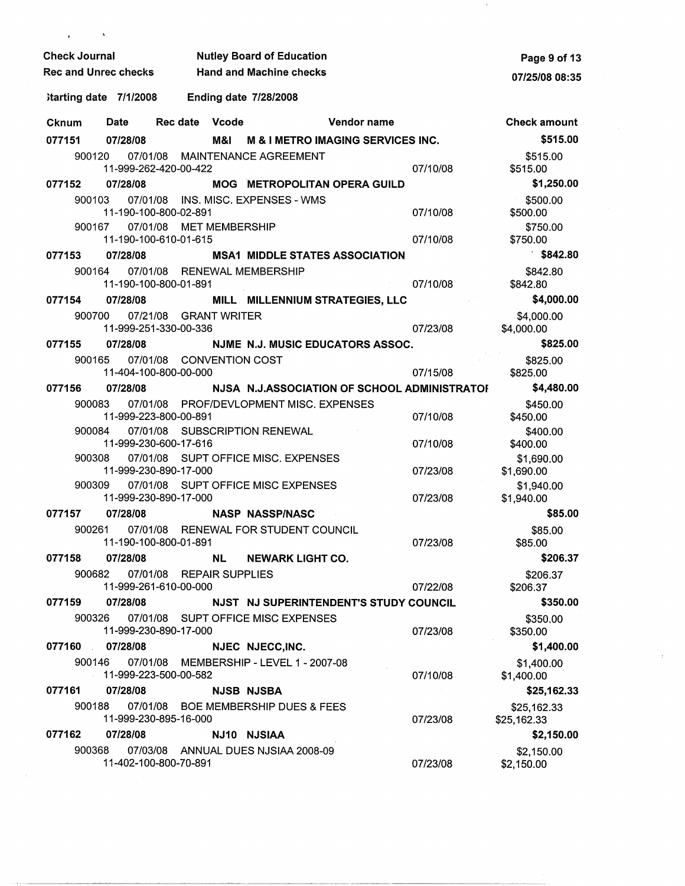| <b>Check Journal</b>   |                                   |                                 | <b>Nutley Board of Education</b>             |             |          |                           |  |  |
|------------------------|-----------------------------------|---------------------------------|----------------------------------------------|-------------|----------|---------------------------|--|--|
| Rec and Unrec checks   |                                   |                                 | <b>Hand and Machine checks</b>               |             |          |                           |  |  |
| Starting date 7/1/2008 |                                   |                                 | <b>Ending date 7/28/2008</b>                 |             |          |                           |  |  |
| Cknum                  | Date                              | Rec date Vcode                  |                                              | Vendor name |          | <b>Check amount</b>       |  |  |
| 077151 07/28/08        |                                   |                                 | M&I M & I METRO IMAGING SERVICES INC.        |             |          | \$515.00                  |  |  |
| 900120                 | 11-999-262-420-00-422             |                                 | 07/01/08 MAINTENANCE AGREEMENT               |             | 07/10/08 | \$515.00<br>\$515.00      |  |  |
| 077152                 | 07/28/08                          |                                 | <b>MOG METROPOLITAN OPERA GUILD</b>          |             |          | \$1,250.00                |  |  |
| 900103                 |                                   |                                 | 07/01/08 INS. MISC. EXPENSES - WMS           |             |          | \$500.00                  |  |  |
|                        | 11-190-100-800-02-891             |                                 |                                              |             | 07/10/08 | \$500.00                  |  |  |
| 900167                 |                                   | 07/01/08 MET MEMBERSHIP         |                                              |             |          | \$750.00                  |  |  |
| 077153                 | 11-190-100-610-01-615<br>07/28/08 |                                 | <b>MSA1 MIDDLE STATES ASSOCIATION</b>        |             | 07/10/08 | \$750.00<br>\$842.80      |  |  |
| 900164                 |                                   | 07/01/08 RENEWAL MEMBERSHIP     |                                              |             |          | \$842.80                  |  |  |
|                        | 11-190-100-800-01-891             |                                 |                                              |             | 07/10/08 | \$842.80                  |  |  |
| 077154                 | 07/28/08                          |                                 | MILL MILLENNIUM STRATEGIES, LLC              |             |          | \$4,000.00                |  |  |
| 900700                 |                                   | 07/21/08 GRANT WRITER           |                                              |             |          | \$4,000.00                |  |  |
|                        | 11-999-251-330-00-336             |                                 |                                              |             | 07/23/08 | \$4,000.00                |  |  |
| 077155<br>900165       | 07/28/08                          | 07/01/08 CONVENTION COST        | NJME N.J. MUSIC EDUCATORS ASSOC.             |             |          | \$825.00                  |  |  |
|                        | 11-404-100-800-00-000             |                                 |                                              |             | 07/15/08 | \$825.00<br>\$825.00      |  |  |
| 077156                 | 07/28/08                          |                                 | NJSA N.J.ASSOCIATION OF SCHOOL ADMINISTRATOR |             |          | \$4,480.00                |  |  |
| 900083                 |                                   |                                 | 07/01/08 PROF/DEVLOPMENT MISC. EXPENSES      |             |          | \$450.00                  |  |  |
|                        | 11-999-223-800-00-891             |                                 |                                              |             | 07/10/08 | \$450.00                  |  |  |
| 900084                 | 07/01/08<br>11-999-230-600-17-616 |                                 | SUBSCRIPTION RENEWAL                         |             | 07/10/08 | \$400.00<br>\$400.00      |  |  |
| 900308                 | 07/01/08                          |                                 | SUPT OFFICE MISC. EXPENSES                   |             |          | \$1,690.00                |  |  |
|                        | 11-999-230-890-17-000             |                                 |                                              |             | 07/23/08 | \$1,690.00                |  |  |
| 900309                 | 11-999-230-890-17-000             |                                 | 07/01/08 SUPT OFFICE MISC EXPENSES           |             | 07/23/08 | \$1,940.00<br>\$1,940.00  |  |  |
| 077157                 | 07/28/08                          |                                 | <b>NASP NASSP/NASC</b>                       |             |          | \$85.00                   |  |  |
| 900261                 |                                   |                                 | 07/01/08 RENEWAL FOR STUDENT COUNCIL         |             |          | \$85.00                   |  |  |
|                        | 11-190-100-800-01-891             |                                 |                                              |             | 07/23/08 | \$85.00                   |  |  |
| 077158                 | 07/28/08                          | NL.<br>07/01/08 REPAIR SUPPLIES | <b>NEWARK LIGHT CO.</b>                      |             |          | \$206.37                  |  |  |
| 900682                 | 11-999-261-610-00-000             |                                 |                                              |             | 07/22/08 | \$206.37<br>\$206.37      |  |  |
| 077159                 | 07/28/08                          |                                 | NJST NJ SUPERINTENDENT'S STUDY COUNCIL       |             |          | \$350.00                  |  |  |
| 900326                 |                                   |                                 | 07/01/08 SUPT OFFICE MISC EXPENSES           |             |          | \$350.00                  |  |  |
|                        | 11-999-230-890-17-000             |                                 |                                              |             | 07/23/08 | \$350.00                  |  |  |
| 077160                 | 07/28/08                          |                                 | NJEC NJECC, INC.                             |             |          | \$1,400.00                |  |  |
| 900146                 | 11-999-223-500-00-582             |                                 | 07/01/08 MEMBERSHIP - LEVEL 1 - 2007-08      |             | 07/10/08 | \$1,400.00<br>\$1,400.00  |  |  |
| 077161                 | 07/28/08                          |                                 | <b>NJSB NJSBA</b>                            |             |          | \$25,162.33               |  |  |
| 900188                 |                                   |                                 | 07/01/08 BOE MEMBERSHIP DUES & FEES          |             |          | \$25,162.33               |  |  |
| 077162                 | 11-999-230-895-16-000<br>07/28/08 |                                 | NJ10 NJSIAA                                  |             | 07/23/08 | \$25,162.33<br>\$2,150.00 |  |  |
| 900368                 |                                   |                                 | 07/03/08 ANNUAL DUES NJSIAA 2008-09          |             |          | \$2,150.00                |  |  |
|                        | 11-402-100-800-70-891             |                                 |                                              |             | 07/23/08 | \$2,150.00                |  |  |

 $\pmb{\ast}$ 

 $\pm$ 

 $\chi_{\rm{eff}}$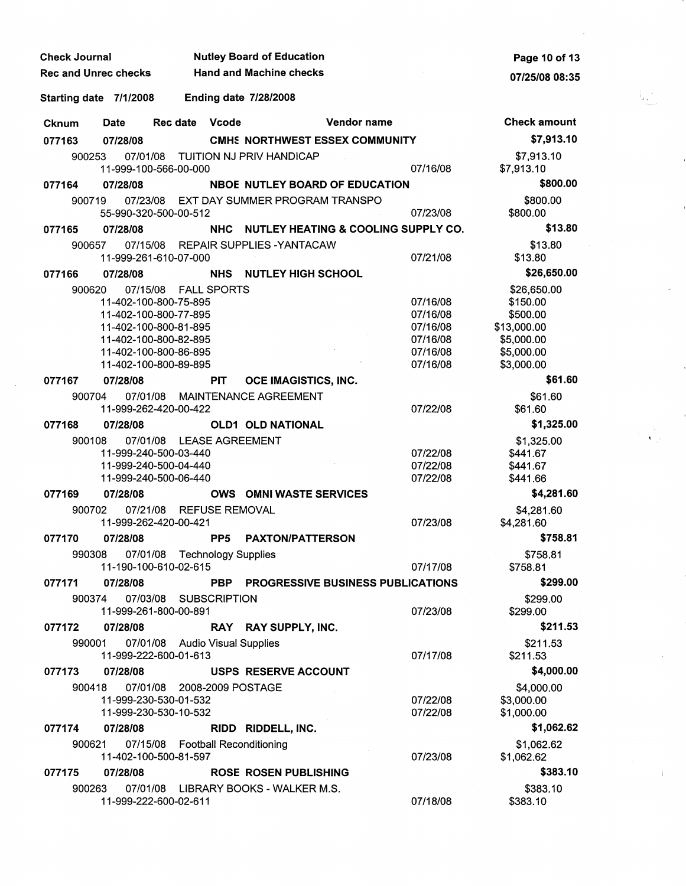| <b>Check Journal</b>   |                                                               |          |                       |                 | <b>Nutley Board of Education</b>     | Page 10 of 13                                |          |                          |
|------------------------|---------------------------------------------------------------|----------|-----------------------|-----------------|--------------------------------------|----------------------------------------------|----------|--------------------------|
|                        | <b>Hand and Machine checks</b><br><b>Rec and Unrec checks</b> |          |                       |                 |                                      | 07/25/08 08:35                               |          |                          |
| Starting date 7/1/2008 |                                                               |          |                       |                 | <b>Ending date 7/28/2008</b>         |                                              |          |                          |
| <b>Cknum</b>           | <b>Date</b>                                                   | Rec date |                       | <b>Vcode</b>    |                                      | Vendor name                                  |          | <b>Check amount</b>      |
| 077163                 | 07/28/08                                                      |          |                       |                 |                                      | <b>CMHS NORTHWEST ESSEX COMMUNITY</b>        |          | \$7,913.10               |
| 900253                 | 11-999-100-566-00-000                                         | 07/01/08 |                       |                 | TUITION NJ PRIV HANDICAP             |                                              | 07/16/08 | \$7,913.10<br>\$7,913.10 |
| 077164                 | 07/28/08                                                      |          |                       |                 |                                      | <b>NBOE NUTLEY BOARD OF EDUCATION</b>        |          | \$800.00                 |
| 900719                 |                                                               | 07/23/08 |                       |                 | EXT DAY SUMMER PROGRAM TRANSPO       |                                              |          | \$800.00                 |
|                        | 55-990-320-500-00-512                                         |          |                       |                 |                                      |                                              | 07/23/08 | \$800.00                 |
| 077165                 | 07/28/08                                                      |          |                       | <b>NHC</b>      |                                      | NUTLEY HEATING & COOLING SUPPLY CO.          |          | \$13.80                  |
| 900657                 |                                                               |          |                       |                 | 07/15/08 REPAIR SUPPLIES - YANTACAW  |                                              |          | \$13.80                  |
|                        | 11-999-261-610-07-000                                         |          |                       |                 |                                      |                                              | 07/21/08 | \$13.80                  |
| 077166                 | 07/28/08                                                      |          |                       | <b>NHS</b>      | <b>NUTLEY HIGH SCHOOL</b>            |                                              |          | \$26,650.00              |
| 900620                 |                                                               |          | 07/15/08 FALL SPORTS  |                 |                                      |                                              |          | \$26,650.00              |
|                        | 11-402-100-800-75-895                                         |          |                       |                 |                                      |                                              | 07/16/08 | \$150.00                 |
|                        | 11-402-100-800-77-895                                         |          |                       |                 |                                      |                                              | 07/16/08 | \$500.00                 |
|                        | 11-402-100-800-81-895                                         |          |                       |                 |                                      |                                              | 07/16/08 | \$13,000.00              |
|                        | 11-402-100-800-82-895                                         |          |                       |                 |                                      |                                              | 07/16/08 | \$5,000.00               |
|                        | 11-402-100-800-86-895                                         |          |                       |                 |                                      |                                              | 07/16/08 | \$5,000.00               |
|                        | 11-402-100-800-89-895                                         |          |                       |                 |                                      |                                              | 07/16/08 | \$3,000.00               |
| 077167                 | 07/28/08                                                      |          |                       | <b>PIT</b>      | OCE IMAGISTICS, INC.                 |                                              |          | \$61.60                  |
| 900704                 |                                                               |          |                       |                 | 07/01/08 MAINTENANCE AGREEMENT       |                                              |          | \$61.60                  |
|                        | 11-999-262-420-00-422                                         |          |                       |                 |                                      |                                              | 07/22/08 | \$61.60                  |
| 077168                 | 07/28/08                                                      |          |                       |                 | <b>OLD1 OLD NATIONAL</b>             |                                              |          | \$1,325.00               |
| 900108                 |                                                               |          |                       |                 | 07/01/08 LEASE AGREEMENT             |                                              |          | \$1,325.00               |
|                        | 11-999-240-500-03-440                                         |          |                       |                 |                                      |                                              | 07/22/08 | \$441.67                 |
|                        | 11-999-240-500-04-440                                         |          |                       |                 |                                      |                                              | 07/22/08 | \$441.67                 |
|                        | 11-999-240-500-06-440                                         |          |                       |                 |                                      |                                              | 07/22/08 | \$441.66                 |
| 077169                 | 07/28/08                                                      |          |                       |                 | <b>OWS OMNI WASTE SERVICES</b>       |                                              |          | \$4,281.60               |
| 900702                 | 11-999-262-420-00-421                                         | 07/21/08 |                       |                 | <b>REFUSE REMOVAL</b>                |                                              | 07/23/08 | \$4,281.60<br>\$4,281.60 |
| 077170                 | 07/28/08                                                      |          |                       | PP <sub>5</sub> | <b>PAXTON/PATTERSON</b>              |                                              |          | \$758.81                 |
|                        | 990308 07/01/08 Technology Supplies                           |          |                       |                 |                                      |                                              |          | \$758.81                 |
|                        | 11-190-100-610-02-615                                         |          |                       |                 |                                      |                                              | 07/17/08 | \$758.81                 |
| 077171                 | 07/28/08                                                      |          |                       |                 |                                      | <b>PBP PROGRESSIVE BUSINESS PUBLICATIONS</b> |          | \$299.00                 |
| 900374                 | 11-999-261-800-00-891                                         |          | 07/03/08 SUBSCRIPTION |                 |                                      |                                              | 07/23/08 | \$299.00<br>\$299.00     |
| 077172                 | 07/28/08                                                      |          |                       |                 | RAY RAY SUPPLY, INC.                 |                                              |          | \$211.53                 |
| 990001                 |                                                               |          |                       |                 | 07/01/08 Audio Visual Supplies       |                                              |          | \$211.53                 |
|                        | 11-999-222-600-01-613                                         |          |                       |                 |                                      |                                              | 07/17/08 | \$211.53                 |
| 077173                 | 07/28/08                                                      |          |                       |                 | <b>USPS RESERVE ACCOUNT</b>          |                                              |          | \$4,000.00               |
| 900418                 |                                                               | 07/01/08 |                       |                 | 2008-2009 POSTAGE                    |                                              |          | \$4,000.00               |
|                        | 11-999-230-530-01-532                                         |          |                       |                 |                                      |                                              | 07/22/08 | \$3,000.00               |
|                        | 11-999-230-530-10-532                                         |          |                       |                 |                                      |                                              | 07/22/08 | \$1,000.00               |
| 077174                 | 07/28/08                                                      |          |                       |                 | RIDD RIDDELL, INC.                   |                                              |          | \$1,062.62               |
| 900621                 |                                                               |          |                       |                 | 07/15/08 Football Reconditioning     |                                              |          | \$1,062.62               |
|                        | 11-402-100-500-81-597                                         |          |                       |                 |                                      |                                              | 07/23/08 | \$1,062.62               |
| 077175                 | 07/28/08                                                      |          |                       |                 | <b>ROSE ROSEN PUBLISHING</b>         |                                              |          | \$383.10                 |
| 900263                 |                                                               |          |                       |                 | 07/01/08 LIBRARY BOOKS - WALKER M.S. |                                              |          | \$383.10                 |
|                        | 11-999-222-600-02-611                                         |          |                       |                 |                                      |                                              | 07/18/08 | \$383.10                 |

 $\bar{\gamma}$ 

' ,'

 $\frac{1}{\sqrt{2}}\int_{0}^{\sqrt{2}}\frac{1}{\sqrt{2}}\left( \frac{1}{2}\right) ^{2}d\mu$ 

 $\label{eq:2} \frac{1}{\sqrt{2}}\int_{0}^{\infty}\frac{d\mu}{\mu}\left(\frac{d\mu}{\mu}\right)^{\mu}d\mu\,.$ 

 $\sim 10^{-1}$ 

 $\mathcal{A}_{\xi_{\text{max}}^{(k-1)}}$ 

J.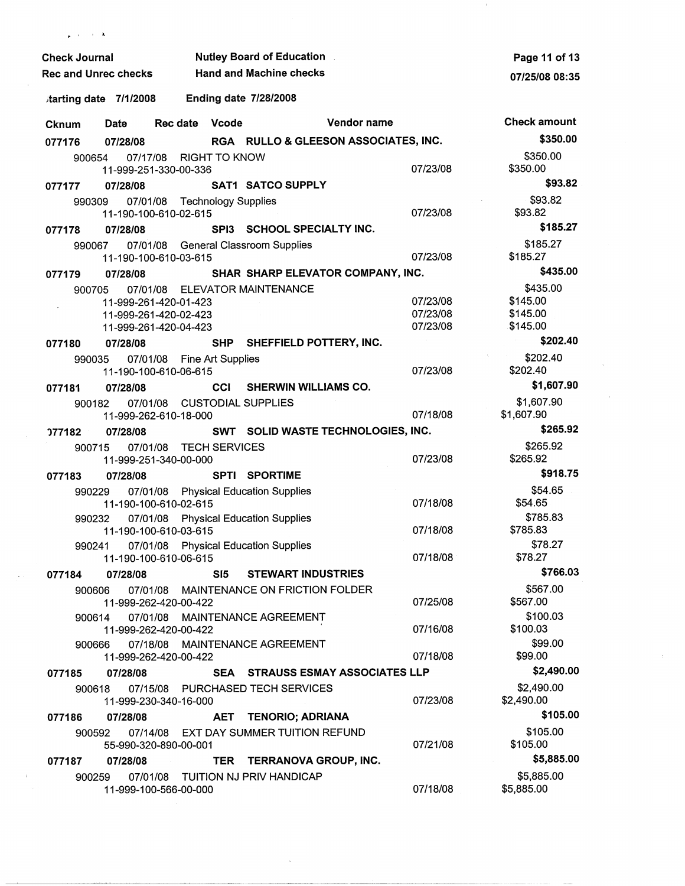| <b>Nutley Board of Education</b><br><b>Check Journal</b> |                                                                         |                              |       |                                         |                                      |                                  | Page 11 of 13                                |
|----------------------------------------------------------|-------------------------------------------------------------------------|------------------------------|-------|-----------------------------------------|--------------------------------------|----------------------------------|----------------------------------------------|
| <b>Rec and Unrec checks</b>                              |                                                                         |                              |       | <b>Hand and Machine checks</b>          |                                      |                                  | 07/25/08 08:35                               |
| tarting date 7/1/2008                                    |                                                                         |                              |       | <b>Ending date 7/28/2008</b>            |                                      |                                  |                                              |
| Cknum                                                    | Date                                                                    | Rec date Vcode               |       |                                         | Vendor name                          |                                  | <b>Check amount</b>                          |
| 077176                                                   | 07/28/08                                                                |                              |       |                                         | RGA RULLO & GLEESON ASSOCIATES, INC. |                                  | \$350.00                                     |
| 900654                                                   | 07/17/08<br>11-999-251-330-00-336                                       | RIGHT TO KNOW                |       |                                         |                                      | 07/23/08                         | \$350.00<br>\$350.00                         |
| 077177                                                   | 07/28/08                                                                |                              |       | <b>SAT1 SATCO SUPPLY</b>                |                                      |                                  | \$93.82                                      |
| 990309                                                   | 11-190-100-610-02-615                                                   | 07/01/08 Technology Supplies |       |                                         |                                      | 07/23/08                         | \$93.82<br>\$93.82                           |
| 077178                                                   | 07/28/08                                                                |                              |       | SPI3 SCHOOL SPECIALTY INC.              |                                      |                                  | \$185.27                                     |
| 990067                                                   | 11-190-100-610-03-615                                                   |                              |       | 07/01/08 General Classroom Supplies     |                                      | 07/23/08                         | \$185.27<br>\$185.27                         |
| 077179                                                   | 07/28/08                                                                |                              |       |                                         | SHAR SHARP ELEVATOR COMPANY, INC.    |                                  | \$435.00                                     |
| 900705                                                   | 11-999-261-420-01-423<br>11-999-261-420-02-423<br>11-999-261-420-04-423 |                              |       | 07/01/08 ELEVATOR MAINTENANCE           |                                      | 07/23/08<br>07/23/08<br>07/23/08 | \$435.00<br>\$145.00<br>\$145.00<br>\$145.00 |
| 077180                                                   | 07/28/08                                                                |                              |       | SHP SHEFFIELD POTTERY, INC.             |                                      |                                  | \$202.40                                     |
| 990035                                                   | 11-190-100-610-06-615                                                   | 07/01/08 Fine Art Supplies   |       |                                         |                                      | 07/23/08                         | \$202.40<br>\$202.40                         |
| 077181                                                   | 07/28/08                                                                |                              | CCI   | <b>SHERWIN WILLIAMS CO.</b>             |                                      |                                  | \$1,607.90                                   |
| 900182                                                   | 11-999-262-610-18-000                                                   |                              |       | 07/01/08 CUSTODIAL SUPPLIES             |                                      | 07/18/08                         | \$1,607.90<br>\$1,607.90                     |
| ን77182                                                   | 07/28/08                                                                |                              |       |                                         | SWT SOLID WASTE TECHNOLOGIES, INC.   |                                  | \$265.92                                     |
| 900715                                                   | 11-999-251-340-00-000                                                   | 07/01/08 TECH SERVICES       |       |                                         |                                      | 07/23/08                         | \$265.92<br>\$265.92                         |
| 077183                                                   | 07/28/08                                                                |                              |       | <b>SPTI SPORTIME</b>                    |                                      |                                  | \$918.75                                     |
| 990229                                                   | 11-190-100-610-02-615                                                   |                              |       | 07/01/08 Physical Education Supplies    |                                      | 07/18/08                         | \$54.65<br>\$54.65                           |
| 990232                                                   | 07/01/08<br>11-190-100-610-03-615                                       |                              |       | <b>Physical Education Supplies</b>      |                                      | 07/18/08                         | \$785.83<br>\$785.83                         |
| 990241                                                   | 07/01/08<br>11-190-100-610-06-615                                       |                              |       | <b>Physical Education Supplies</b>      |                                      | 07/18/08                         | \$78.27<br>\$78.27                           |
| 077184                                                   | 07/28/08                                                                |                              | SI5 I | <b>STEWART INDUSTRIES</b>               |                                      |                                  | \$766.03                                     |
| 900606                                                   | 11-999-262-420-00-422                                                   |                              |       | 07/01/08 MAINTENANCE ON FRICTION FOLDER |                                      | 07/25/08                         | \$567.00<br>\$567.00                         |
| 900614                                                   | 11-999-262-420-00-422                                                   |                              |       | 07/01/08 MAINTENANCE AGREEMENT          |                                      | 07/16/08                         | \$100.03<br>\$100.03<br>\$99.00              |
| 900666                                                   | 11-999-262-420-00-422                                                   |                              |       | 07/18/08 MAINTENANCE AGREEMENT          |                                      | 07/18/08                         | \$99.00                                      |
| 077185                                                   | 07/28/08                                                                |                              |       |                                         | SEA STRAUSS ESMAY ASSOCIATES LLP     |                                  | \$2,490.00                                   |
| 900618                                                   | 11-999-230-340-16-000                                                   |                              |       | 07/15/08 PURCHASED TECH SERVICES        |                                      | 07/23/08                         | \$2,490.00<br>\$2,490.00                     |
| 077186                                                   | 07/28/08                                                                |                              | AET   | <b>TENORIO; ADRIANA</b>                 |                                      |                                  | \$105.00                                     |
| 900592                                                   | 55-990-320-890-00-001                                                   |                              |       | 07/14/08 EXT DAY SUMMER TUITION REFUND  |                                      | 07/21/08                         | \$105.00<br>\$105.00                         |
| 077187                                                   | 07/28/08                                                                |                              |       | TER TERRANOVA GROUP, INC.               |                                      |                                  | \$5,885.00                                   |
| 900259                                                   | 11-999-100-566-00-000                                                   |                              |       | 07/01/08 TUITION NJ PRIV HANDICAP       |                                      | 07/18/08                         | \$5,885.00<br>\$5,885.00                     |

 $\mathbf{x} = \mathbf{z} = -1$  . A

 $\bar{\chi}$ 

 $\mathcal{A}$ 

 $\sim 8\%$ 

 $\mathcal{L}^{\mathcal{L}}$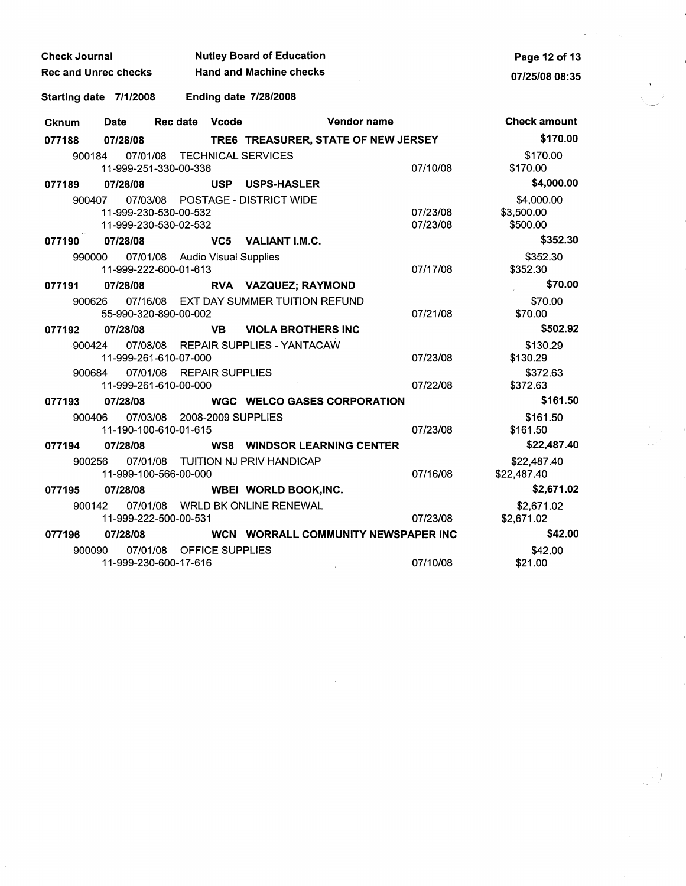| <b>Check Journal</b>        |                        | <b>Nutley Board of Education</b> | Page 12 of 13<br>07/25/08 08:35 |                                     |                                     |                      |
|-----------------------------|------------------------|----------------------------------|---------------------------------|-------------------------------------|-------------------------------------|----------------------|
| <b>Rec and Unrec checks</b> |                        | <b>Hand and Machine checks</b>   |                                 |                                     |                                     |                      |
|                             | Starting date 7/1/2008 |                                  |                                 | <b>Ending date 7/28/2008</b>        |                                     |                      |
| <b>Cknum</b>                | Date                   | Rec date                         | Vcode                           |                                     | Vendor name                         | <b>Check amount</b>  |
| 077188                      | 07/28/08               |                                  |                                 | TRE6 TREASURER, STATE OF NEW JERSEY |                                     | \$170.00             |
| 900184                      | 07/01/08               |                                  |                                 | <b>TECHNICAL SERVICES</b>           |                                     | \$170.00             |
|                             |                        | 11-999-251-330-00-336            |                                 |                                     | 07/10/08                            | \$170.00             |
| 077189                      | 07/28/08               |                                  | <b>USP</b>                      | <b>USPS-HASLER</b>                  |                                     | \$4,000.00           |
| 900407                      |                        |                                  |                                 | 07/03/08 POSTAGE - DISTRICT WIDE    |                                     | \$4,000.00           |
|                             |                        | 11-999-230-530-00-532            |                                 |                                     | 07/23/08                            | \$3,500.00           |
|                             |                        | 11-999-230-530-02-532            |                                 |                                     | 07/23/08                            | \$500.00             |
| 077190                      | 07/28/08               |                                  |                                 | VC5 VALIANT I.M.C.                  |                                     | \$352.30             |
|                             | 990000                 | 07/01/08 Audio Visual Supplies   |                                 |                                     |                                     | \$352.30             |
|                             |                        | 11-999-222-600-01-613            |                                 |                                     | 07/17/08                            | \$352.30             |
| 077191                      | 07/28/08               |                                  |                                 | RVA VAZQUEZ; RAYMOND                |                                     | \$70.00              |
| 900626                      | 07/16/08               |                                  |                                 | EXT DAY SUMMER TUITION REFUND       | 07/21/08                            | \$70.00              |
|                             |                        | 55-990-320-890-00-002            |                                 |                                     |                                     | \$70.00<br>\$502.92  |
| 077192                      | 07/28/08               |                                  | <b>VB</b>                       | <b>VIOLA BROTHERS INC</b>           |                                     |                      |
| 900424                      |                        | 11-999-261-610-07-000            |                                 | 07/08/08 REPAIR SUPPLIES - YANTACAW | 07/23/08                            | \$130.29<br>\$130.29 |
| 900684                      | 07/01/08               | <b>REPAIR SUPPLIES</b>           |                                 |                                     |                                     | \$372.63             |
|                             |                        | 11-999-261-610-00-000            |                                 |                                     | 07/22/08                            | \$372.63             |
| 077193                      | 07/28/08               |                                  |                                 | <b>WGC WELCO GASES CORPORATION</b>  |                                     | \$161.50             |
| 900406                      |                        | 07/03/08 2008-2009 SUPPLIES      |                                 |                                     |                                     | \$161.50             |
|                             |                        | 11-190-100-610-01-615            |                                 |                                     | 07/23/08                            | \$161.50             |
| 077194                      | 07/28/08               |                                  |                                 | <b>WS8 WINDSOR LEARNING CENTER</b>  |                                     | \$22,487.40          |
| 900256                      |                        |                                  |                                 | 07/01/08 TUITION NJ PRIV HANDICAP   |                                     | \$22,487.40          |
|                             |                        | 11-999-100-566-00-000            |                                 |                                     | 07/16/08                            | \$22,487.40          |
| 077195                      | 07/28/08               |                                  |                                 | <b>WBEI WORLD BOOK, INC.</b>        |                                     | \$2,671.02           |
| 900142                      |                        |                                  |                                 | 07/01/08 WRLD BK ONLINE RENEWAL     |                                     | \$2,671.02           |
|                             |                        | 11-999-222-500-00-531            |                                 |                                     | 07/23/08                            | \$2,671.02           |
| 07/28/08<br>077196          |                        |                                  |                                 |                                     | WCN WORRALL COMMUNITY NEWSPAPER INC | \$42.00              |
| 900090                      |                        | 07/01/08 OFFICE SUPPLIES         |                                 |                                     |                                     | \$42.00              |
|                             |                        | 11-999-230-600-17-616            |                                 |                                     | 07/10/08                            | \$21.00              |

 $\label{eq:2.1} \frac{1}{\sqrt{2}}\int_{\mathbb{R}^3}\frac{1}{\sqrt{2}}\left(\frac{1}{\sqrt{2}}\right)^2\frac{1}{\sqrt{2}}\left(\frac{1}{\sqrt{2}}\right)^2\frac{1}{\sqrt{2}}\left(\frac{1}{\sqrt{2}}\right)^2\frac{1}{\sqrt{2}}\left(\frac{1}{\sqrt{2}}\right)^2\frac{1}{\sqrt{2}}\left(\frac{1}{\sqrt{2}}\right)^2\frac{1}{\sqrt{2}}\frac{1}{\sqrt{2}}\frac{1}{\sqrt{2}}\frac{1}{\sqrt{2}}\frac{1}{\sqrt{2}}\frac{1}{\sqrt{2}}$ 

 $\frac{1}{\sqrt{2}}$ 

 $\left\langle \frac{1}{\sqrt{2}}\right\rangle$